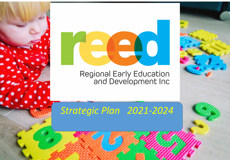

# Regional Early Education<br>and Development Inc

# *Strategic Plan 2021-2024*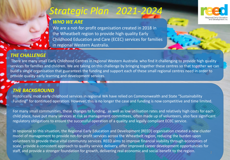### *WHO WE ARE*

We are a not-for-profit organisation created in 2018 in the Wheatbelt region to provide high quality Early Childhood Education and Care (ECEC) services for families in regional Western Australia.



### *THE CHALLENGE*

There are many small Early Childhood Centres in regional Western Australia who find it challenging to provide high quality services for families and children. We are taking on this challenge by bringing together these centres so that together we can build a single organisation that guarantees the funding and support each of these small regional centres need in order to provide quality early learning and development services.

### *THE BACKGROUND*

Historically, most early childhood services in regional WA have relied on Commonwealth and State "Sustainability Funding" for continued operation. However, this is no longer the case and funding is now competitive and time limited.

For many small communities, these changes to funding, as well as low utilisation rates and relatively high costs for each child place, have put many services at risk as management committees, often made up of volunteers, also face significant regulatory obligations to ensure the successful operation of a quality and legally compliant ECEC service.

In response to this situation, the Regional Early Education and Development (REED) organisation created a new cluster model of management to provide not-for-profit services across the Wheatbelt region, reducing the burden upon volunteers to provide these vital community services. REED aims to improve financial viability through economies of scale, provide a consistent approach to quality service delivery, offer improved career development opportunities for staff, and provide a stronger foundation for growth, delivering real economic and social benefit to the region. <sup>2</sup>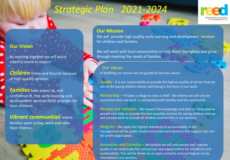

#### **Our Mission**

We will provide high-quality early learning and development services for children and families.

We will work with local communities to help them strengthen and grow through meeting the needs of families.

### Our Values

In building our service we are guided by five key values -

Quality - It is our responsibility to provide the highest quality of service that we can to the young children whose well-being is the focus of our work.

Partnership – "It takes a village to raise a child". We believe we will only be successful when we work in partnership with families and the community.

Respect and Inclusion - We respect the knowledge and skills of many diverse people who help us provide the best possible services for young children and we will actively work to include all children and families in our services.

Integrity – We apply the highest standards of accountability in our management of the public funds and private contributions that support our notfor-profit organisation.

Innovation and Curiosity – We believe we will only evolve and improve quality if we continually flex and pursue new opportunities for excellence and sustainability. This will be driven by an open curiosity and a willingness to be innovative in our services.

### **Our Vision**

By working together we will assist country towns to ensure:

*Children* thrive and flourish because of high quality services.

*Families* have access to, and confidence in, the early learning and development services REED provides for their children.

### *Vibrant communities* where

families want to live, work and raise their children.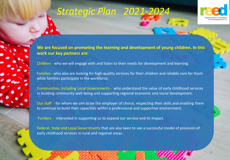



**We are focused on promoting the learning and development of young children. In this work our key partners are**:

Children - who we will engage with and listen to their needs for development and learning.

Families - who also are looking for high-quality services for their children and reliable care for them while families participate in the workforce.

Communities, including Local Governments - who understand the value of early childhood services in building community well-being and supporting regional economic and social development.

Our staff - for whom we aim to be the employer of choice, respecting their skills and enabling them to continue to build their capacities within a professional and supportive environment.

Funders - interested in supporting us to expand our service and its impact.

Federal, State and Local Governments that are also keen to see a successful model of provision of early childhood services in rural and regional areas.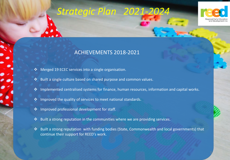

5

### ACHIEVEMENTS 2018-2021

- Merged 19 ECEC services into a single organisation.
- Built a single culture based on shared purpose and common values.
- ❖ Implemented centralised systems for finance, human resources, information and capital works.
- ❖ Improved the quality of services to meet national standards.
- ❖ Improved professional development for staff.
- $\triangle$  Built a strong reputation in the communities where we are providing services.
- Built a strong reputation with funding bodies (State, Commonwealth and local governments) that continue their support for REED's work.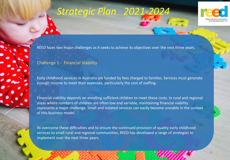



REED faces two major challenges as it seeks to achieve its objectives over the next three years.

#### Challenge 1 - Financial Viability

Early childhood services in Australia are funded by fees charged to families. Services must generate enough income to meet their expenses, particularly the cost of staffing.

Financial viability depends on enrolling sufficient children to meet these costs. In rural and regional areas where numbers of children are often low and variable, maintaining financial viability represents a major challenge. Small and isolated services can easily become unviable in the context of this business model.

To overcome these difficulties and to ensure the continued provision of quality early childhood services to small rural and regional communities, REED has developed a range of strategies to implement over the next three years.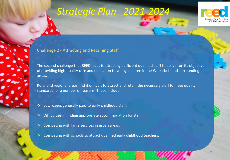

#### Challenge 2 - Attracting and Retaining Staff

The second challenge that REED faces is attracting sufficient qualified staff to deliver on its objective of providing high-quality care and education to young children in the Wheatbelt and surrounding areas.

Rural and regional areas find it difficult to attract and retain the necessary staff to meet quality standards for a number of reasons. These include:

- Low wages generally paid to early childhood staff.
- Difficulties in finding appropriate accommodation for staff.
- ❖ Competing with large services in urban areas.
- $\triangle$  Competing with schools to attract qualified early childhood teachers.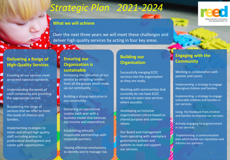

353



Over the next three years we will meet these challenges and deliver high quality services by acting in four key areas.

#### **Delivering a Range of High-Quality Services**

Ensuring all our services meet or exceed national standards.

Understanding the needs of each community and providing the appropriate service.

Broadening the range of services that we offer to meet the needs of children and families.

Implementing strategies to retain and attract high quality staff, including access to professional development and career path opportunities.

### **Ensuring our Organisation is sustainable**

Increasing the utilisation of our service by attracting families from all the groups which make up our community.

Building a strong reputation in our community.

Delivering an operational surplus each year with a business model that balances our income and expenditure.

Establishing ethically responsible partnerships with corporate partners.

Having effective mechanisms to identify and to manage risk.

### **Building our Organisation**

Successfully merging ECEC services into the organisation as they are ready.

Working with communities that currently do not have ECEC services to open new services where possible.

Developing an inclusive organisational culture based on shared purpose and common values.

Our Board and management team operating with exemplary governance policies and systems to lead and support our services.

### **Engaging with the Community**

Working in collaboration with parents and carers.

Implementing a strategy to engage Aboriginal children and families.

Implementing a strategy to engage vulnerable children and families in our services.

Using the feedback from children and families to improve our services.

Actively engaging local government in our services.

Implementing a communication plan which builds our reputation and informs our partners.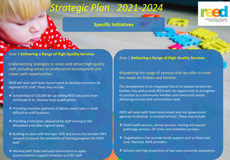### **Specific Initiatives**



#### Area 1 **Delivering a Range of High-Quality Services**

Implementing strategies to retain and attract high quality staff, including access to professional development and career path opportunities.

REED will work with State Government to develop incentives for regional ECEC staff. These may include:

- ❖ Scholarships of \$10,000 for up-skilling REED educators from Certificate III to Diploma level qualifications.
- Providing incentive payments of above-award rates in small difficult-to-staff locations.
- Providing a relocation allowance for staff moving to the Wheatbelt and other regional areas.
- $\cdot$  Building on work with Narrogin TAFE and across the broader TAFE network to ensure the availability of training programs for REED staff.
- Working with State and Local Government to apply accommodation support initiatives to ECEC staff.

Area 1 **Delivering a Range of High-Quality Services** 

Broadening the range of services that we offer to meet the needs of children and families.

The development of an integrated hub of co-located services for families may well provide REED with the opportunity to strengthen its position as a community member and community leader, delivering services that communities need.

REED will work with State Government and non-government agencies to develop co-located services. These may include:

- ❖ Child health services, dental services, hearing and speech pathology services, GP clinics and midwifery services.
- ❖ Organisations that provide family support such as Share and Care, Wanslea, NDIS providers.
- Schools with high proportion of low socio-economic population.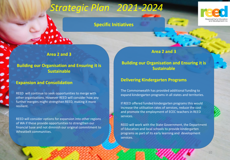### **Specific Initiatives**



**Area 2 and 3** 

### **Building our Organisation and Ensuring it is Sustainable**

#### **Expansion and Consolidation**

REED will continue to seek opportunities to merge with other organisations. However REED will consider how any further mergers might strengthen REED, making it more resilient.

REED will consider options for expansion into other regions of WA if these provide opportunities to strengthen our financial base and not diminish our original commitment to Wheatbelt communities.

#### **Area 2 and 3**

#### **Building our Organisation and Ensuring it is Sustainable**

#### **Delivering Kindergarten Programs**

The Commonwealth has provided additional funding to expand kindergarten programs in all states and territories.

If REED offered funded kindergarten programs this would increase the utilisation rates of services, reduce the cost and promote the employment of ECEC teachers in REED services.

REED will work with the State Government, the Department of Education and local schools to provide kindergarten programs as part of its early learning and development services.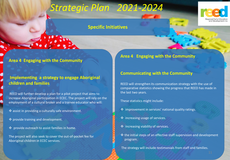



#### **Area 4 Engaging with the Community**

### **Implementing a strategy to engage Aboriginal children and families**

REED will further develop a plan for a pilot project that aims to increase Aboriginal participation in ECEC. The project will rely on the employment of a cultural broker and a trainee educator who will:

- assist in providing a culturally safe environment.
- $\triangleq$  provide training and development.
- provide outreach to assist families in home.

The project will also seek to cover the out-of-pocket fee for Aboriginal children in ECEC services.

**Area 4 Engaging with the Community**

#### **Communicating with the Community**

REED will strengthen its communication strategy with the use of comparative statistics showing the progress that REED has made in the last two years.

These statistics might include:

- $\div$  improvement in services' national quality ratings.
- $\div$  increasing usage of services.
- $\div$  increasing viability of services.
- $\cdot$  the initial steps of an effective staff supervision and development program.

The strategy will include testimonials from staff and families.